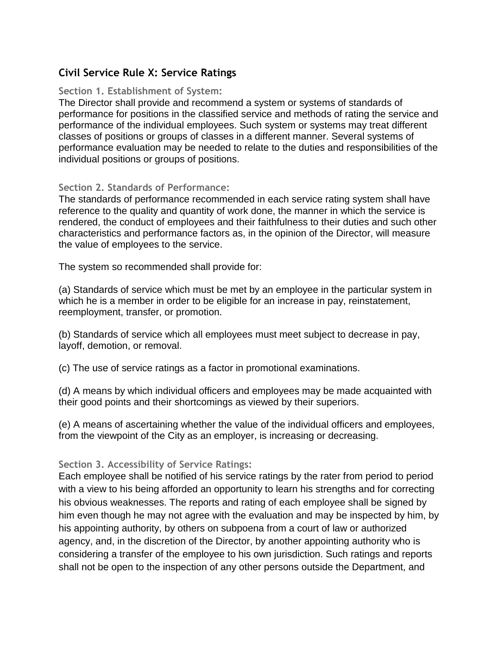## **Civil Service Rule X: Service Ratings**

## **Section 1. Establishment of System:**

The Director shall provide and recommend a system or systems of standards of performance for positions in the classified service and methods of rating the service and performance of the individual employees. Such system or systems may treat different classes of positions or groups of classes in a different manner. Several systems of performance evaluation may be needed to relate to the duties and responsibilities of the individual positions or groups of positions.

## **Section 2. Standards of Performance:**

The standards of performance recommended in each service rating system shall have reference to the quality and quantity of work done, the manner in which the service is rendered, the conduct of employees and their faithfulness to their duties and such other characteristics and performance factors as, in the opinion of the Director, will measure the value of employees to the service.

The system so recommended shall provide for:

(a) Standards of service which must be met by an employee in the particular system in which he is a member in order to be eligible for an increase in pay, reinstatement, reemployment, transfer, or promotion.

(b) Standards of service which all employees must meet subject to decrease in pay, layoff, demotion, or removal.

(c) The use of service ratings as a factor in promotional examinations.

(d) A means by which individual officers and employees may be made acquainted with their good points and their shortcomings as viewed by their superiors.

(e) A means of ascertaining whether the value of the individual officers and employees, from the viewpoint of the City as an employer, is increasing or decreasing.

## **Section 3. Accessibility of Service Ratings:**

Each employee shall be notified of his service ratings by the rater from period to period with a view to his being afforded an opportunity to learn his strengths and for correcting his obvious weaknesses. The reports and rating of each employee shall be signed by him even though he may not agree with the evaluation and may be inspected by him, by his appointing authority, by others on subpoena from a court of law or authorized agency, and, in the discretion of the Director, by another appointing authority who is considering a transfer of the employee to his own jurisdiction. Such ratings and reports shall not be open to the inspection of any other persons outside the Department, and